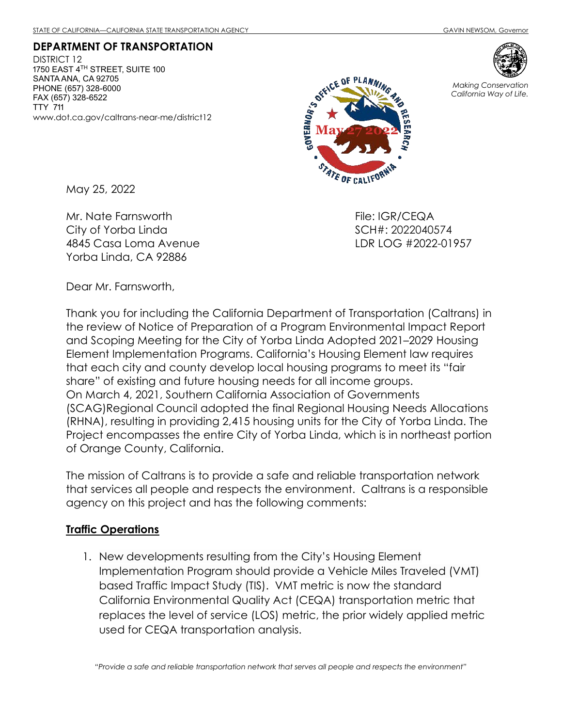DEPARTMENT OF TRANSPORTATION DISTRICT 12 1750 EAST 4 $^{TH}$  STREET, SUITE 100 SANTA ANA, CA 92705 PHONE (657) 328-6000 FAX (657) 328-6522 TTY 711 www.dot.ca.gov/caltrans-near-me/district12



Making Conservation California Way of Life.

May 25, 2022

Mr. Nate Farnsworth City of Yorba Linda 4845 Casa Loma Avenue Yorba Linda, CA 92886

File: IGR/CEQA SCH#: 2022040574 LDR LOG #2022-01957

Dear Mr. Farnsworth,

Thank you for including the California Department of Transportation (Caltrans) in the review of Notice of Preparation of a Program Environmental Impact Report and Scoping Meeting for the City of Yorba Linda Adopted 2021–2029 Housing Element Implementation Programs. California's Housing Element law requires that each city and county develop local housing programs to meet its "fair share" of existing and future housing needs for all income groups. On March 4, 2021, Southern California Association of Governments (SCAG)Regional Council adopted the final Regional Housing Needs Allocations (RHNA), resulting in providing 2,415 housing units for the City of Yorba Linda. The Project encompasses the entire City of Yorba Linda, which is in northeast portion of Orange County, California.

The mission of Caltrans is to provide a safe and reliable transportation network that services all people and respects the environment. Caltrans is a responsible agency on this project and has the following comments:

## Traffic Operations

1. New developments resulting from the City's Housing Element Implementation Program should provide a Vehicle Miles Traveled (VMT) based Traffic Impact Study (TIS). VMT metric is now the standard California Environmental Quality Act (CEQA) transportation metric that replaces the level of service (LOS) metric, the prior widely applied metric used for CEQA transportation analysis.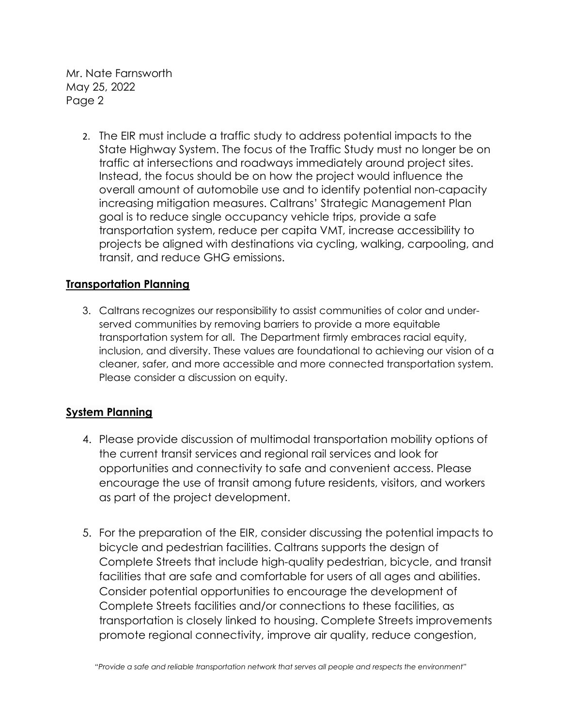Mr. Nate Farnsworth May 25, 2022 Page 2

> 2. The EIR must include a traffic study to address potential impacts to the State Highway System. The focus of the Traffic Study must no longer be on traffic at intersections and roadways immediately around project sites. Instead, the focus should be on how the project would influence the overall amount of automobile use and to identify potential non-capacity increasing mitigation measures. Caltrans' Strategic Management Plan goal is to reduce single occupancy vehicle trips, provide a safe transportation system, reduce per capita VMT, increase accessibility to projects be aligned with destinations via cycling, walking, carpooling, and transit, and reduce GHG emissions.

## Transportation Planning

3. Caltrans recognizes our responsibility to assist communities of color and underserved communities by removing barriers to provide a more equitable transportation system for all. The Department firmly embraces racial equity, inclusion, and diversity. These values are foundational to achieving our vision of a cleaner, safer, and more accessible and more connected transportation system. Please consider a discussion on equity.

## System Planning

- 4. Please provide discussion of multimodal transportation mobility options of the current transit services and regional rail services and look for opportunities and connectivity to safe and convenient access. Please encourage the use of transit among future residents, visitors, and workers as part of the project development.
- 5. For the preparation of the EIR, consider discussing the potential impacts to bicycle and pedestrian facilities. Caltrans supports the design of Complete Streets that include high-quality pedestrian, bicycle, and transit facilities that are safe and comfortable for users of all ages and abilities. Consider potential opportunities to encourage the development of Complete Streets facilities and/or connections to these facilities, as transportation is closely linked to housing. Complete Streets improvements promote regional connectivity, improve air quality, reduce congestion,